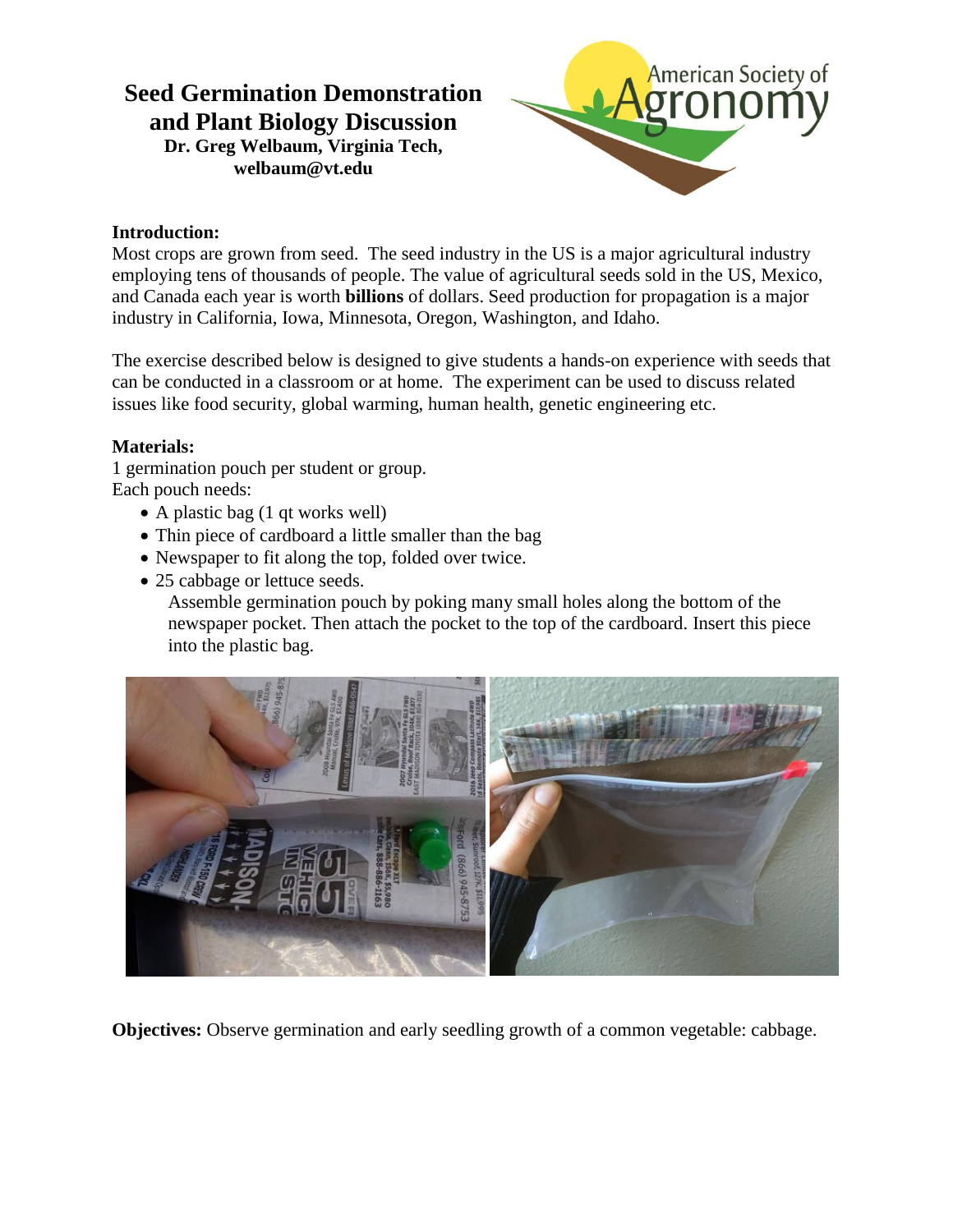# **Seed Germination Demonstration and Plant Biology Discussion Dr. Greg Welbaum, Virginia Tech, welbaum@vt.edu**



### **Introduction:**

Most crops are grown from seed. The seed industry in the US is a major agricultural industry employing tens of thousands of people. The value of agricultural seeds sold in the US, Mexico, and Canada each year is worth **billions** of dollars. Seed production for propagation is a major industry in California, Iowa, Minnesota, Oregon, Washington, and Idaho.

The exercise described below is designed to give students a hands-on experience with seeds that can be conducted in a classroom or at home. The experiment can be used to discuss related issues like food security, global warming, human health, genetic engineering etc.

## **Materials:**

1 germination pouch per student or group. Each pouch needs:

- A plastic bag (1 qt works well)
- Thin piece of cardboard a little smaller than the bag
- Newspaper to fit along the top, folded over twice.
- 25 cabbage or lettuce seeds.

Assemble germination pouch by poking many small holes along the bottom of the newspaper pocket. Then attach the pocket to the top of the cardboard. Insert this piece into the plastic bag.



**Objectives:** Observe germination and early seedling growth of a common vegetable: cabbage.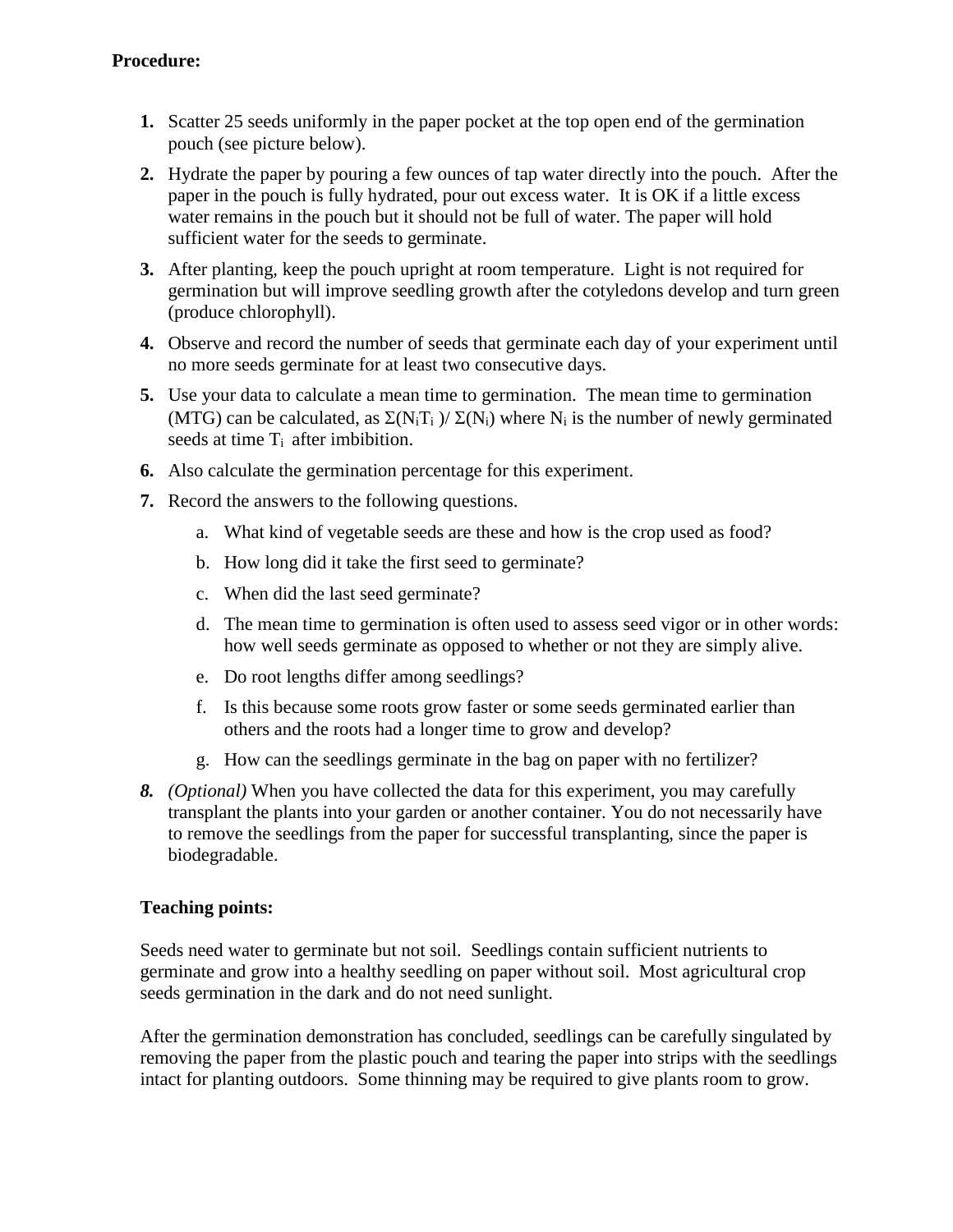#### **Procedure:**

- **1.** Scatter 25 seeds uniformly in the paper pocket at the top open end of the germination pouch (see picture below).
- **2.** Hydrate the paper by pouring a few ounces of tap water directly into the pouch. After the paper in the pouch is fully hydrated, pour out excess water. It is OK if a little excess water remains in the pouch but it should not be full of water. The paper will hold sufficient water for the seeds to germinate.
- **3.** After planting, keep the pouch upright at room temperature. Light is not required for germination but will improve seedling growth after the cotyledons develop and turn green (produce chlorophyll).
- **4.** Observe and record the number of seeds that germinate each day of your experiment until no more seeds germinate for at least two consecutive days.
- **5.** Use your data to calculate a mean time to germination. The mean time to germination (MTG) can be calculated, as  $\Sigma(N_iT_i)/\Sigma(N_i)$  where N<sub>i</sub> is the number of newly germinated seeds at time  $T_i$  after imbibition.
- **6.** Also calculate the germination percentage for this experiment.
- **7.** Record the answers to the following questions.
	- a. What kind of vegetable seeds are these and how is the crop used as food?
	- b. How long did it take the first seed to germinate?
	- c. When did the last seed germinate?
	- d. The mean time to germination is often used to assess seed vigor or in other words: how well seeds germinate as opposed to whether or not they are simply alive.
	- e. Do root lengths differ among seedlings?
	- f. Is this because some roots grow faster or some seeds germinated earlier than others and the roots had a longer time to grow and develop?
	- g. How can the seedlings germinate in the bag on paper with no fertilizer?
- *8. (Optional)* When you have collected the data for this experiment, you may carefully transplant the plants into your garden or another container. You do not necessarily have to remove the seedlings from the paper for successful transplanting, since the paper is biodegradable.

#### **Teaching points:**

Seeds need water to germinate but not soil. Seedlings contain sufficient nutrients to germinate and grow into a healthy seedling on paper without soil. Most agricultural crop seeds germination in the dark and do not need sunlight.

After the germination demonstration has concluded, seedlings can be carefully singulated by removing the paper from the plastic pouch and tearing the paper into strips with the seedlings intact for planting outdoors. Some thinning may be required to give plants room to grow.